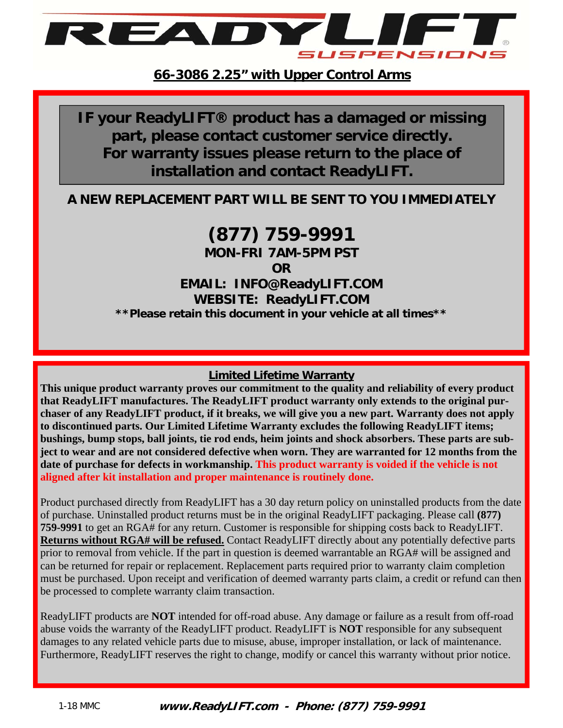

**IF your ReadyLIFT® product has a damaged or missing part, please contact customer service directly. For warranty issues please return to the place of installation and contact ReadyLIFT.** 

#### **A NEW REPLACEMENT PART WILL BE SENT TO YOU IMMEDIATELY**

# **(877) 759-9991**

**MON-FRI 7AM-5PM PST** 

**OR** 

**EMAIL: INFO@ReadyLIFT.COM WEBSITE: ReadyLIFT.COM \*\*Please retain this document in your vehicle at all times\*\*** 

#### **Limited Lifetime Warranty**

**This unique product warranty proves our commitment to the quality and reliability of every product that ReadyLIFT manufactures. The ReadyLIFT product warranty only extends to the original purchaser of any ReadyLIFT product, if it breaks, we will give you a new part. Warranty does not apply to discontinued parts. Our Limited Lifetime Warranty excludes the following ReadyLIFT items; bushings, bump stops, ball joints, tie rod ends, heim joints and shock absorbers. These parts are subject to wear and are not considered defective when worn. They are warranted for 12 months from the date of purchase for defects in workmanship. This product warranty is voided if the vehicle is not aligned after kit installation and proper maintenance is routinely done.** 

Product purchased directly from ReadyLIFT has a 30 day return policy on uninstalled products from the date of purchase. Uninstalled product returns must be in the original ReadyLIFT packaging. Please call **(877) 759-9991** to get an RGA# for any return. Customer is responsible for shipping costs back to ReadyLIFT. **Returns without RGA# will be refused.** Contact ReadyLIFT directly about any potentially defective parts prior to removal from vehicle. If the part in question is deemed warrantable an RGA# will be assigned and can be returned for repair or replacement. Replacement parts required prior to warranty claim completion must be purchased. Upon receipt and verification of deemed warranty parts claim, a credit or refund can then be processed to complete warranty claim transaction.

ReadyLIFT products are **NOT** intended for off-road abuse. Any damage or failure as a result from off-road abuse voids the warranty of the ReadyLIFT product. ReadyLIFT is **NOT** responsible for any subsequent damages to any related vehicle parts due to misuse, abuse, improper installation, or lack of maintenance. Furthermore, ReadyLIFT reserves the right to change, modify or cancel this warranty without prior notice.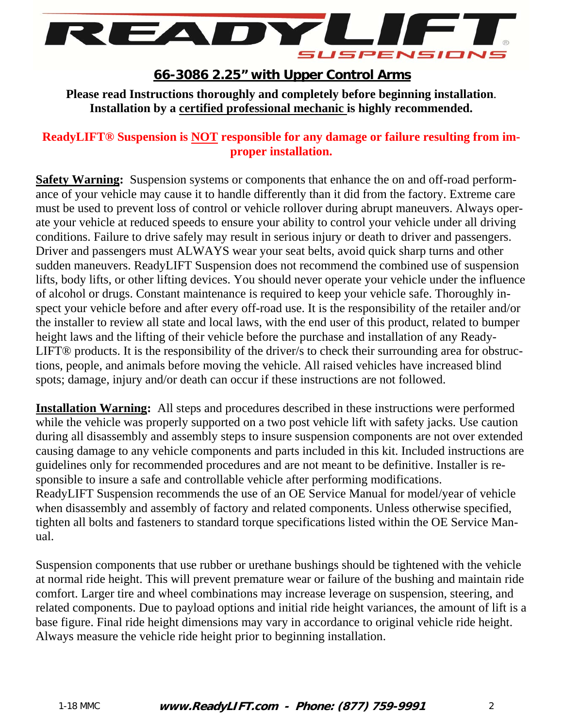

**Please read Instructions thoroughly and completely before beginning installation**. **Installation by a certified professional mechanic is highly recommended.** 

#### **ReadyLIFT® Suspension is NOT responsible for any damage or failure resulting from improper installation.**

**Safety Warning:** Suspension systems or components that enhance the on and off-road performance of your vehicle may cause it to handle differently than it did from the factory. Extreme care must be used to prevent loss of control or vehicle rollover during abrupt maneuvers. Always operate your vehicle at reduced speeds to ensure your ability to control your vehicle under all driving conditions. Failure to drive safely may result in serious injury or death to driver and passengers. Driver and passengers must ALWAYS wear your seat belts, avoid quick sharp turns and other sudden maneuvers. ReadyLIFT Suspension does not recommend the combined use of suspension lifts, body lifts, or other lifting devices. You should never operate your vehicle under the influence of alcohol or drugs. Constant maintenance is required to keep your vehicle safe. Thoroughly inspect your vehicle before and after every off-road use. It is the responsibility of the retailer and/or the installer to review all state and local laws, with the end user of this product, related to bumper height laws and the lifting of their vehicle before the purchase and installation of any Ready-LIFT® products. It is the responsibility of the driver/s to check their surrounding area for obstructions, people, and animals before moving the vehicle. All raised vehicles have increased blind spots; damage, injury and/or death can occur if these instructions are not followed.

**Installation Warning:** All steps and procedures described in these instructions were performed while the vehicle was properly supported on a two post vehicle lift with safety jacks. Use caution during all disassembly and assembly steps to insure suspension components are not over extended causing damage to any vehicle components and parts included in this kit. Included instructions are guidelines only for recommended procedures and are not meant to be definitive. Installer is responsible to insure a safe and controllable vehicle after performing modifications. ReadyLIFT Suspension recommends the use of an OE Service Manual for model/year of vehicle when disassembly and assembly of factory and related components. Unless otherwise specified, tighten all bolts and fasteners to standard torque specifications listed within the OE Service Manual.

Suspension components that use rubber or urethane bushings should be tightened with the vehicle at normal ride height. This will prevent premature wear or failure of the bushing and maintain ride comfort. Larger tire and wheel combinations may increase leverage on suspension, steering, and related components. Due to payload options and initial ride height variances, the amount of lift is a base figure. Final ride height dimensions may vary in accordance to original vehicle ride height. Always measure the vehicle ride height prior to beginning installation.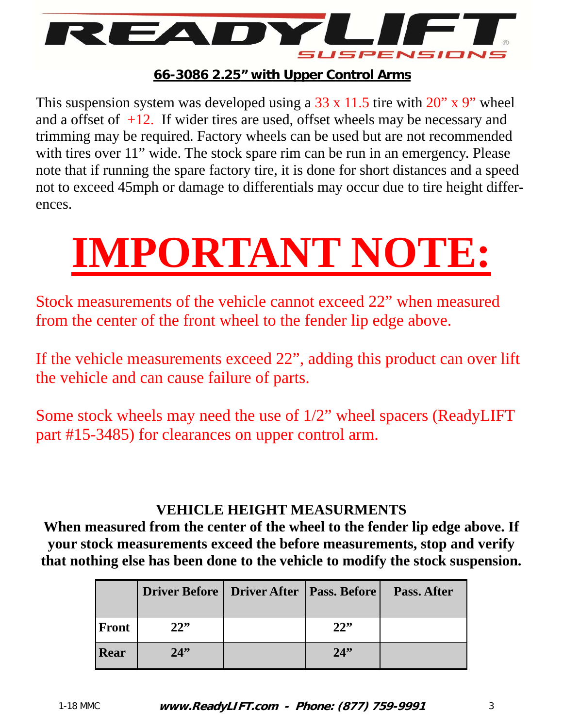

This suspension system was developed using a  $33 \times 11.5$  tire with  $20'' \times 9''$  wheel and a offset of  $+12$ . If wider tires are used, offset wheels may be necessary and trimming may be required. Factory wheels can be used but are not recommended with tires over 11" wide. The stock spare rim can be run in an emergency. Please note that if running the spare factory tire, it is done for short distances and a speed not to exceed 45mph or damage to differentials may occur due to tire height differences.

# **IMPORTANT NOTE:**

Stock measurements of the vehicle cannot exceed 22" when measured from the center of the front wheel to the fender lip edge above.

If the vehicle measurements exceed 22", adding this product can over lift the vehicle and can cause failure of parts.

Some stock wheels may need the use of 1/2" wheel spacers (ReadyLIFT part #15-3485) for clearances on upper control arm.

## **VEHICLE HEIGHT MEASURMENTS**

**When measured from the center of the wheel to the fender lip edge above. If your stock measurements exceed the before measurements, stop and verify that nothing else has been done to the vehicle to modify the stock suspension.** 

|       | Driver Before   Driver After   Pass. Before |     | Pass. After |
|-------|---------------------------------------------|-----|-------------|
| Front | 22"                                         | 22" |             |
| Rear  | 24                                          | 24  |             |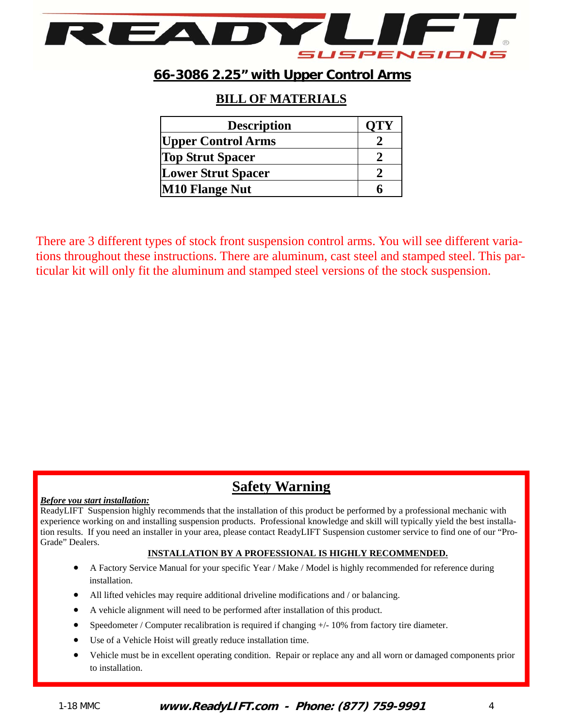

#### **BILL OF MATERIALS**

| <b>Description</b>        | OTY |
|---------------------------|-----|
| <b>Upper Control Arms</b> |     |
| <b>Top Strut Spacer</b>   |     |
| <b>Lower Strut Spacer</b> |     |
| <b>M10 Flange Nut</b>     |     |

There are 3 different types of stock front suspension control arms. You will see different variations throughout these instructions. There are aluminum, cast steel and stamped steel. This particular kit will only fit the aluminum and stamped steel versions of the stock suspension.

## **Safety Warning**

#### *Before you start installation:*

ReadyLIFT Suspension highly recommends that the installation of this product be performed by a professional mechanic with experience working on and installing suspension products. Professional knowledge and skill will typically yield the best installation results. If you need an installer in your area, please contact ReadyLIFT Suspension customer service to find one of our "Pro-Grade" Dealers.

#### **INSTALLATION BY A PROFESSIONAL IS HIGHLY RECOMMENDED.**

- A Factory Service Manual for your specific Year / Make / Model is highly recommended for reference during installation.
- All lifted vehicles may require additional driveline modifications and / or balancing.
- A vehicle alignment will need to be performed after installation of this product.
- Speedometer / Computer recalibration is required if changing +/- 10% from factory tire diameter.
- Use of a Vehicle Hoist will greatly reduce installation time.
- Vehicle must be in excellent operating condition. Repair or replace any and all worn or damaged components prior to installation.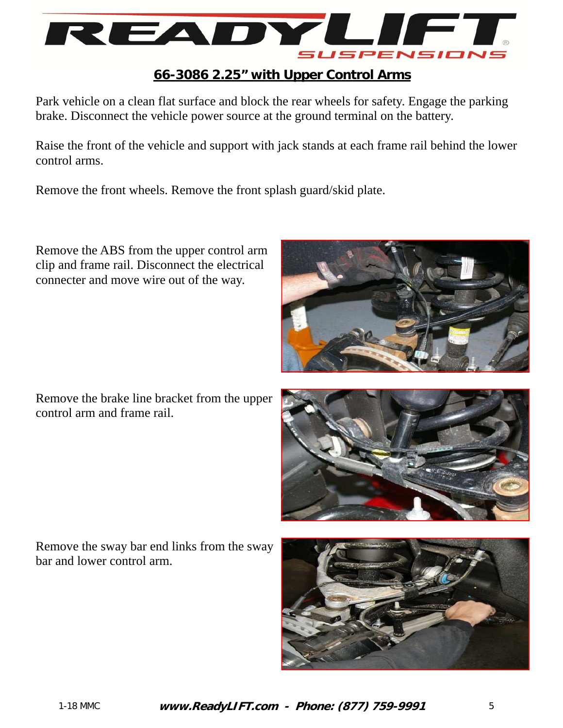

Park vehicle on a clean flat surface and block the rear wheels for safety. Engage the parking brake. Disconnect the vehicle power source at the ground terminal on the battery.

Raise the front of the vehicle and support with jack stands at each frame rail behind the lower control arms.

Remove the front wheels. Remove the front splash guard/skid plate.

Remove the ABS from the upper control arm clip and frame rail. Disconnect the electrical connecter and move wire out of the way.

Remove the brake line bracket from the upper control arm and frame rail.





Remove the sway bar end links from the sway bar and lower control arm.

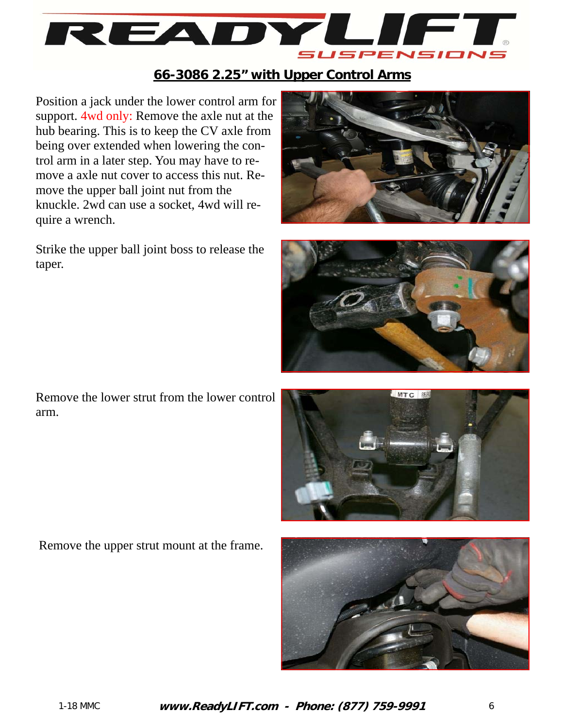

Position a jack under the lower control arm for support. 4wd only: Remove the axle nut at the hub bearing. This is to keep the CV axle from being over extended when lowering the control arm in a later step. You may have to remove a axle nut cover to access this nut. Remove the upper ball joint nut from the knuckle. 2wd can use a socket, 4wd will require a wrench.

Strike the upper ball joint boss to release the taper.





Remove the lower strut from the lower control arm.



Remove the upper strut mount at the frame.

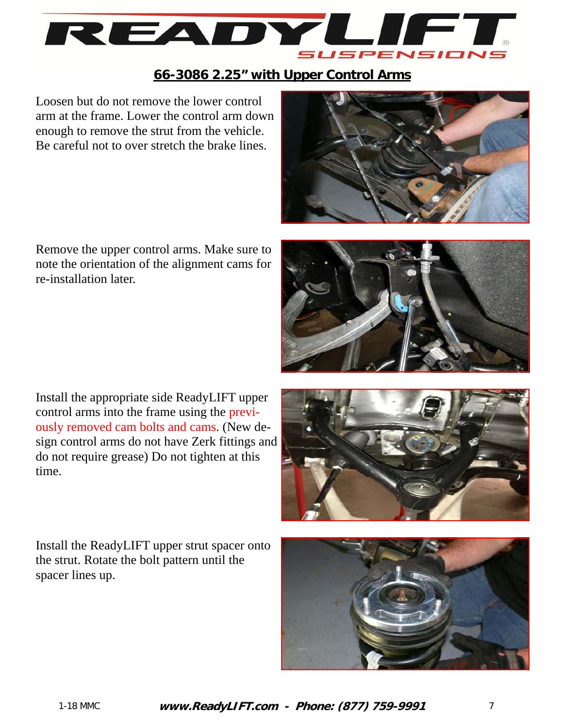

Loosen but do not remove the lower control arm at the frame. Lower the control arm down enough to remove the strut from the vehicle. Be careful not to over stretch the brake lines.



Remove the upper control arms. Make sure to note the orientation of the alignment cams for re-installation later.



Install the appropriate side ReadyLIFT upper control arms into the frame using the previously removed cam bolts and cams. (New design control arms do not have Zerk fittings and do not require grease) Do not tighten at this time.

Install the ReadyLIFT upper strut spacer onto the strut. Rotate the bolt pattern until the spacer lines up.



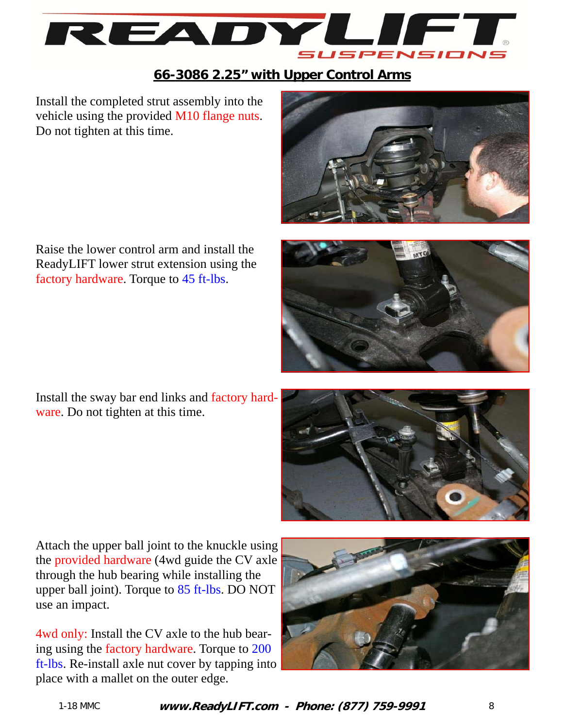

Install the completed strut assembly into the vehicle using the provided M10 flange nuts. Do not tighten at this time.



Raise the lower control arm and install the ReadyLIFT lower strut extension using the factory hardware. Torque to 45 ft-lbs.

Install the sway bar end links and factory hardware. Do not tighten at this time.





Attach the upper ball joint to the knuckle using the provided hardware (4wd guide the CV axle through the hub bearing while installing the upper ball joint). Torque to 85 ft-lbs. DO NOT use an impact.

4wd only: Install the CV axle to the hub bearing using the factory hardware. Torque to 200 ft-lbs. Re-install axle nut cover by tapping into place with a mallet on the outer edge.

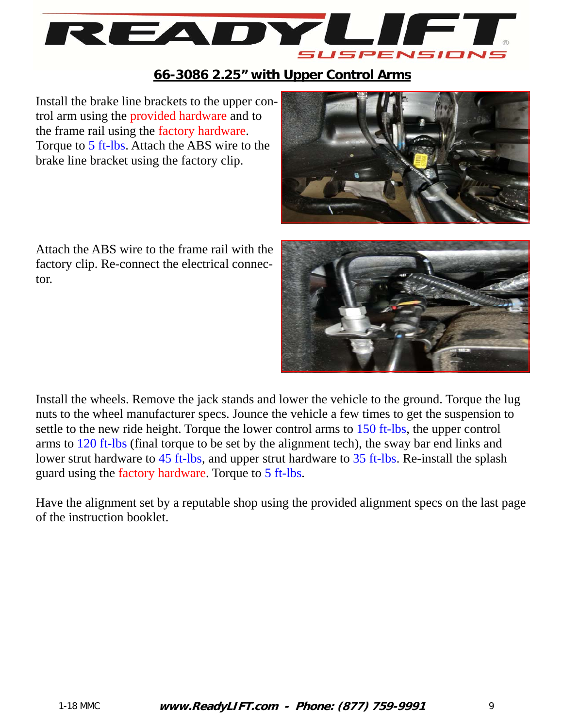

Install the brake line brackets to the upper control arm using the provided hardware and to the frame rail using the factory hardware. Torque to 5 ft-lbs. Attach the ABS wire to the brake line bracket using the factory clip.



Attach the ABS wire to the frame rail with the factory clip. Re-connect the electrical connector.



Install the wheels. Remove the jack stands and lower the vehicle to the ground. Torque the lug nuts to the wheel manufacturer specs. Jounce the vehicle a few times to get the suspension to settle to the new ride height. Torque the lower control arms to 150 ft-lbs, the upper control arms to 120 ft-lbs (final torque to be set by the alignment tech), the sway bar end links and lower strut hardware to 45 ft-lbs, and upper strut hardware to 35 ft-lbs. Re-install the splash guard using the factory hardware. Torque to 5 ft-lbs.

Have the alignment set by a reputable shop using the provided alignment specs on the last page of the instruction booklet.